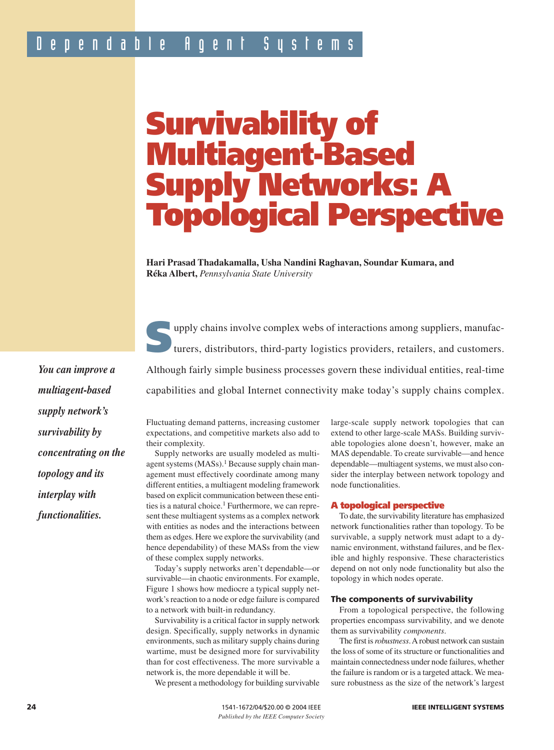## Dependable Agent Systems

# **Survivability of Multiagent-Based Supply Networks: A Topological Perspective**

**Hari Prasad Thadakamalla, Usha Nandini Raghavan, Soundar Kumara, and Réka Albert,** *Pennsylvania State University*



**SPUPPLY chains involve complex webs of interactions among suppliers, manufacturers, distributors, third-party logistics providers, retailers, and customers.** Although fairly simple business processes govern these individual entities, real-time capabilities and global Internet connectivity make today's supply chains complex.

Fluctuating demand patterns, increasing customer expectations, and competitive markets also add to their complexity.

Supply networks are usually modeled as multiagent systems (MASs).<sup>1</sup> Because supply chain management must effectively coordinate among many different entities, a multiagent modeling framework based on explicit communication between these entities is a natural choice.<sup>1</sup> Furthermore, we can represent these multiagent systems as a complex network with entities as nodes and the interactions between them as edges. Here we explore the survivability (and hence dependability) of these MASs from the view of these complex supply networks.

Today's supply networks aren't dependable—or survivable—in chaotic environments. For example, Figure 1 shows how mediocre a typical supply network's reaction to a node or edge failure is compared to a network with built-in redundancy.

Survivability is a critical factor in supply network design. Specifically, supply networks in dynamic environments, such as military supply chains during wartime, must be designed more for survivability than for cost effectiveness. The more survivable a network is, the more dependable it will be.

We present a methodology for building survivable

large-scale supply network topologies that can extend to other large-scale MASs. Building survivable topologies alone doesn't, however, make an MAS dependable. To create survivable—and hence dependable—multiagent systems, we must also consider the interplay between network topology and node functionalities.

#### **A topological perspective**

To date, the survivability literature has emphasized network functionalities rather than topology. To be survivable, a supply network must adapt to a dynamic environment, withstand failures, and be flexible and highly responsive. These characteristics depend on not only node functionality but also the topology in which nodes operate.

#### **The components of survivability**

From a topological perspective, the following properties encompass survivability, and we denote them as survivability *components*.

The first is *robustness*. A robust network can sustain the loss of some of its structure or functionalities and maintain connectedness under node failures, whether the failure is random or is a targeted attack. We measure robustness as the size of the network's largest

*You can improve a multiagent-based supply network's survivability by concentrating on the topology and its interplay with functionalities.*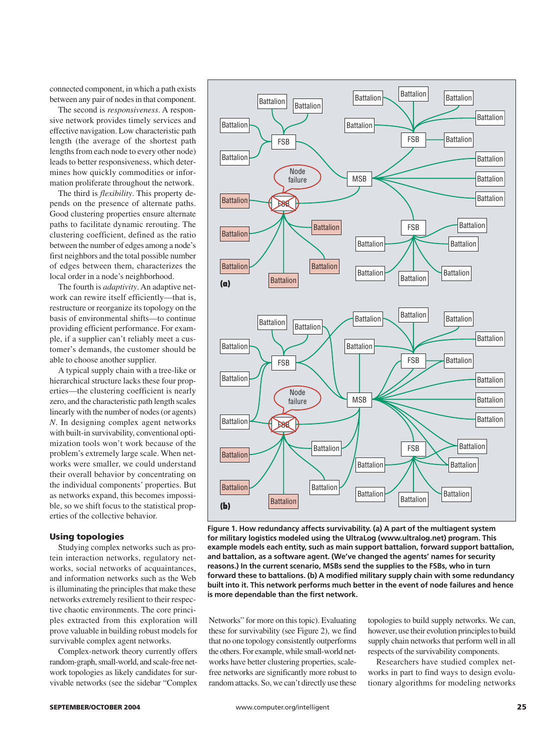connected component, in which a path exists between any pair of nodes in that component.

The second is *responsiveness*. A responsive network provides timely services and effective navigation. Low characteristic path length (the average of the shortest path lengths from each node to every other node) leads to better responsiveness, which determines how quickly commodities or information proliferate throughout the network.

The third is *flexibility*. This property depends on the presence of alternate paths. Good clustering properties ensure alternate paths to facilitate dynamic rerouting. The clustering coefficient, defined as the ratio between the number of edges among a node's first neighbors and the total possible number of edges between them, characterizes the local order in a node's neighborhood.

The fourth is *adaptivity*. An adaptive network can rewire itself efficiently—that is, restructure or reorganize its topology on the basis of environmental shifts—to continue providing efficient performance. For example, if a supplier can't reliably meet a customer's demands, the customer should be able to choose another supplier.

A typical supply chain with a tree-like or hierarchical structure lacks these four properties—the clustering coefficient is nearly zero, and the characteristic path length scales linearly with the number of nodes (or agents) *N*. In designing complex agent networks with built-in survivability, conventional optimization tools won't work because of the problem's extremely large scale. When networks were smaller, we could understand their overall behavior by concentrating on the individual components' properties. But as networks expand, this becomes impossible, so we shift focus to the statistical properties of the collective behavior.

#### **Using topologies**

Studying complex networks such as protein interaction networks, regulatory networks, social networks of acquaintances, and information networks such as the Web is illuminating the principles that make these networks extremely resilient to their respective chaotic environments. The core principles extracted from this exploration will prove valuable in building robust models for survivable complex agent networks.

Complex-network theory currently offers random-graph, small-world, and scale-free network topologies as likely candidates for survivable networks (see the sidebar "Complex



**Figure 1. How redundancy affects survivability. (a) A part of the multiagent system for military logistics modeled using the UltraLog (www.ultralog.net) program. This example models each entity, such as main support battalion, forward support battalion, and battalion, as a software agent. (We've changed the agents' names for security reasons.) In the current scenario, MSBs send the supplies to the FSBs, who in turn forward these to battalions. (b) A modified military supply chain with some redundancy built into it. This network performs much better in the event of node failures and hence is more dependable than the first network.**

Networks" for more on this topic). Evaluating these for survivability (see Figure 2), we find that no one topology consistently outperforms the others. For example, while small-world networks have better clustering properties, scalefree networks are significantly more robust to random attacks. So, we can't directly use these

topologies to build supply networks. We can, however, use their evolution principles to build supply chain networks that perform well in all respects of the survivability components.

Researchers have studied complex networks in part to find ways to design evolutionary algorithms for modeling networks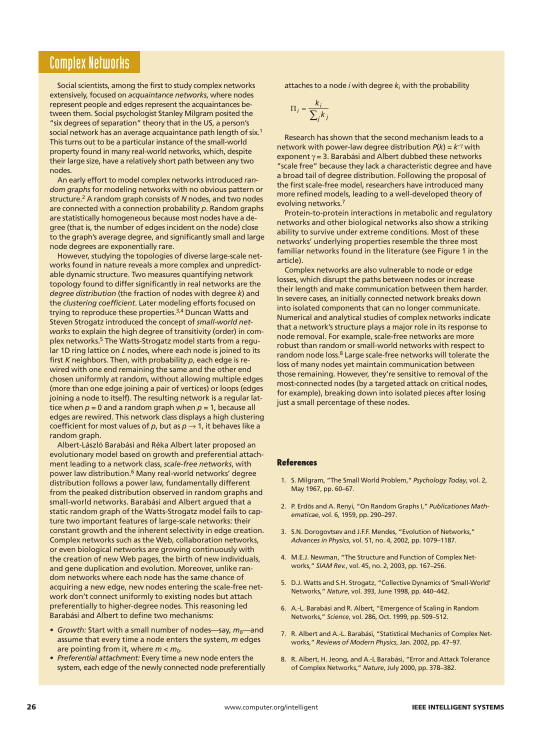## Complex Networks

Social scientists, among the first to study complex networks extensively, focused on *acquaintance networks*, where nodes represent people and edges represent the acquaintances between them. Social psychologist Stanley Milgram posited the "six degrees of separation" theory that in the US, a person's social network has an average acquaintance path length of six.<sup>1</sup> This turns out to be a particular instance of the small-world property found in many real-world networks, which, despite their large size, have a relatively short path between any two nodes.

An early effort to model complex networks introduced *random graphs* for modeling networks with no obvious pattern or structure.2 A random graph consists of *N* nodes, and two nodes are connected with a connection probability *p*. Random graphs are statistically homogeneous because most nodes have a degree (that is, the number of edges incident on the node) close to the graph's average degree, and significantly small and large node degrees are exponentially rare.

However, studying the topologies of diverse large-scale networks found in nature reveals a more complex and unpredictable dynamic structure. Two measures quantifying network topology found to differ significantly in real networks are the *degree distribution* (the fraction of nodes with degree *k*) and the *clustering coefficient*. Later modeling efforts focused on trying to reproduce these properties.<sup>3,4</sup> Duncan Watts and Steven Strogatz introduced the concept of *small-world networks* to explain the high degree of transitivity (order) in complex networks.<sup>5</sup> The Watts-Strogatz model starts from a regular 1D ring lattice on *L* nodes, where each node is joined to its first *K* neighbors. Then, with probability *p*, each edge is rewired with one end remaining the same and the other end chosen uniformly at random, without allowing multiple edges (more than one edge joining a pair of vertices) or loops (edges joining a node to itself). The resulting network is a regular lattice when  $p = 0$  and a random graph when  $p = 1$ , because all edges are rewired. This network class displays a high clustering coefficient for most values of  $p$ , but as  $p \rightarrow 1$ , it behaves like a random graph.

Albert-László Barabási and Réka Albert later proposed an evolutionary model based on growth and preferential attachment leading to a network class, *scale-free networks*, with power law distribution.<sup>6</sup> Many real-world networks' degree distribution follows a power law, fundamentally different from the peaked distribution observed in random graphs and small-world networks. Barabási and Albert argued that a static random graph of the Watts-Strogatz model fails to capture two important features of large-scale networks: their constant growth and the inherent selectivity in edge creation. Complex networks such as the Web, collaboration networks, or even biological networks are growing continuously with the creation of new Web pages, the birth of new individuals, and gene duplication and evolution. Moreover, unlike random networks where each node has the same chance of acquiring a new edge, new nodes entering the scale-free network don't connect uniformly to existing nodes but attach preferentially to higher-degree nodes. This reasoning led Barabási and Albert to define two mechanisms:

- Growth: Start with a small number of nodes—say,  $m_0$ —and assume that every time a node enters the system, *m* edges are pointing from it, where  $m < m_0$ .
- *Preferential attachment:* Every time a new node enters the system, each edge of the newly connected node preferentially

attaches to a node  $i$  with degree  $k_i$  with the probability

$$
\Pi_i = \frac{k_i}{\sum_j k_j}
$$

Research has shown that the second mechanism leads to a network with power-law degree distribution  $P(k) = k^{-\gamma}$  with exponent  $\gamma$  = 3. Barabási and Albert dubbed these networks "scale free" because they lack a characteristic degree and have a broad tail of degree distribution. Following the proposal of the first scale-free model, researchers have introduced many more refined models, leading to a well-developed theory of evolving networks.7

Protein-to-protein interactions in metabolic and regulatory networks and other biological networks also show a striking ability to survive under extreme conditions. Most of these networks' underlying properties resemble the three most familiar networks found in the literature (see Figure 1 in the article).

Complex networks are also vulnerable to node or edge losses, which disrupt the paths between nodes or increase their length and make communication between them harder. In severe cases, an initially connected network breaks down into isolated components that can no longer communicate. Numerical and analytical studies of complex networks indicate that a network's structure plays a major role in its response to node removal. For example, scale-free networks are more robust than random or small-world networks with respect to random node loss.<sup>8</sup> Large scale-free networks will tolerate the loss of many nodes yet maintain communication between those remaining. However, they're sensitive to removal of the most-connected nodes (by a targeted attack on critical nodes, for example), breaking down into isolated pieces after losing just a small percentage of these nodes.

#### **References**

- 1. S. Milgram, "The Small World Problem," *Psychology Today*, vol. 2, May 1967, pp. 60–67.
- 2. P. Erdös and A. Renyi, "On Random Graphs I," *Publicationes Mathematicae*, vol. 6, 1959, pp. 290–297.
- 3. S.N. Dorogovtsev and J.F.F. Mendes, "Evolution of Networks," *Advances in Physics*, vol. 51, no. 4, 2002, pp. 1079–1187.
- 4. M.E.J. Newman, "The Structure and Function of Complex Networks," *SIAM Rev.*, vol. 45, no. 2, 2003, pp. 167–256.
- 5. D.J. Watts and S.H. Strogatz, "Collective Dynamics of 'Small-World' Networks," *Nature*, vol. 393, June 1998, pp. 440–442.
- 6. A.-L. Barabási and R. Albert, "Emergence of Scaling in Random Networks," *Science*, vol. 286, Oct. 1999, pp. 509–512.
- 7. R. Albert and A.-L. Barabási, "Statistical Mechanics of Complex Networks," *Reviews of Modern Physics*, Jan. 2002, pp. 47–97.
- 8. R. Albert, H. Jeong, and A.-L Barabási, "Error and Attack Tolerance of Complex Networks," *Nature*, July 2000, pp. 378–382.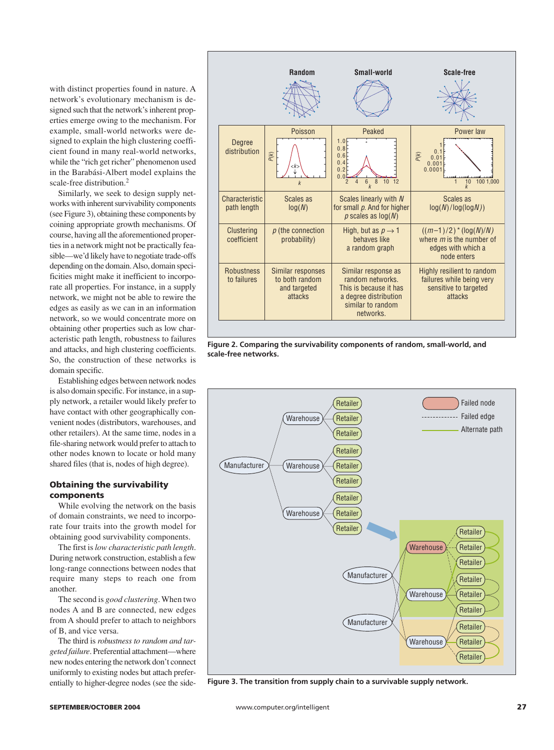with distinct properties found in nature. A network's evolutionary mechanism is designed such that the network's inherent properties emerge owing to the mechanism. For example, small-world networks were designed to explain the high clustering coefficient found in many real-world networks, while the "rich get richer" phenomenon used in the Barabási-Albert model explains the scale-free distribution.<sup>2</sup>

Similarly, we seek to design supply networks with inherent survivability components (see Figure 3), obtaining these components by coining appropriate growth mechanisms. Of course, having all the aforementioned properties in a network might not be practically feasible—we'd likely have to negotiate trade-offs depending on the domain. Also, domain specificities might make it inefficient to incorporate all properties. For instance, in a supply network, we might not be able to rewire the edges as easily as we can in an information network, so we would concentrate more on obtaining other properties such as low characteristic path length, robustness to failures and attacks, and high clustering coefficients. So, the construction of these networks is domain specific.

Establishing edges between network nodes is also domain specific. For instance, in a supply network, a retailer would likely prefer to have contact with other geographically convenient nodes (distributors, warehouses, and other retailers). At the same time, nodes in a file-sharing network would prefer to attach to other nodes known to locate or hold many shared files (that is, nodes of high degree).

#### **Obtaining the survivability components**

While evolving the network on the basis of domain constraints, we need to incorporate four traits into the growth model for obtaining good survivability components.

The first is *low characteristic path length*. During network construction, establish a few long-range connections between nodes that require many steps to reach one from another.

The second is *good clustering*. When two nodes A and B are connected, new edges from A should prefer to attach to neighbors of B, and vice versa.

The third is *robustness to random and targeted failure*. Preferential attachment—where new nodes entering the network don't connect uniformly to existing nodes but attach preferentially to higher-degree nodes (see the side-







**Figure 3. The transition from supply chain to a survivable supply network.**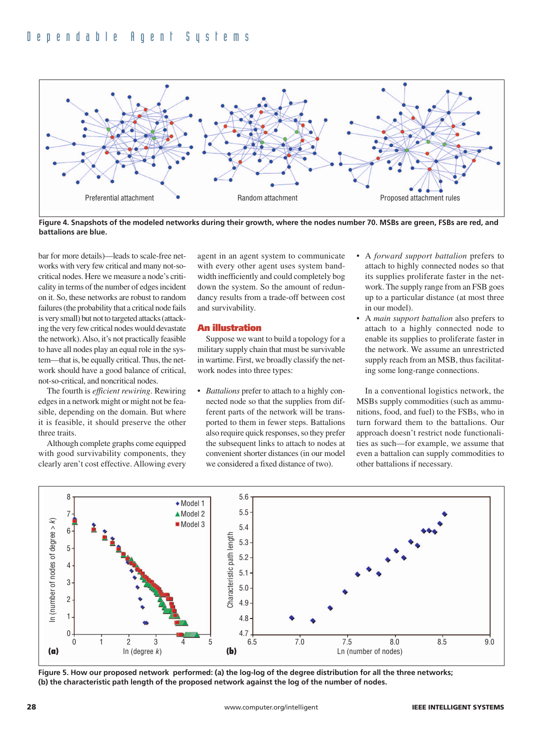

**Figure 4. Snapshots of the modeled networks during their growth, where the nodes number 70. MSBs are green, FSBs are red, and battalions are blue.**

bar for more details)—leads to scale-free networks with very few critical and many not-socritical nodes. Here we measure a node's criticality in terms of the number of edges incident on it. So, these networks are robust to random failures (the probability that a critical node fails is very small) but not to targeted attacks (attacking the very few critical nodes would devastate the network). Also, it's not practically feasible to have all nodes play an equal role in the system—that is, be equally critical. Thus, the network should have a good balance of critical, not-so-critical, and noncritical nodes.

The fourth is *efficient rewiring*. Rewiring edges in a network might or might not be feasible, depending on the domain. But where it is feasible, it should preserve the other three traits.

Although complete graphs come equipped with good survivability components, they clearly aren't cost effective. Allowing every agent in an agent system to communicate with every other agent uses system bandwidth inefficiently and could completely bog down the system. So the amount of redundancy results from a trade-off between cost and survivability.

#### **An illustration**

Suppose we want to build a topology for a military supply chain that must be survivable in wartime. First, we broadly classify the network nodes into three types:

• *Battalions* prefer to attach to a highly connected node so that the supplies from different parts of the network will be transported to them in fewer steps. Battalions also require quick responses, so they prefer the subsequent links to attach to nodes at convenient shorter distances (in our model we considered a fixed distance of two).

- A *forward support battalion* prefers to attach to highly connected nodes so that its supplies proliferate faster in the network. The supply range from an FSB goes up to a particular distance (at most three in our model).
- A *main support battalion* also prefers to attach to a highly connected node to enable its supplies to proliferate faster in the network. We assume an unrestricted supply reach from an MSB, thus facilitating some long-range connections.

In a conventional logistics network, the MSBs supply commodities (such as ammunitions, food, and fuel) to the FSBs, who in turn forward them to the battalions. Our approach doesn't restrict node functionalities as such—for example, we assume that even a battalion can supply commodities to other battalions if necessary.



**Figure 5. How our proposed network performed: (a) the log-log of the degree distribution for all the three networks; (b) the characteristic path length of the proposed network against the log of the number of nodes.**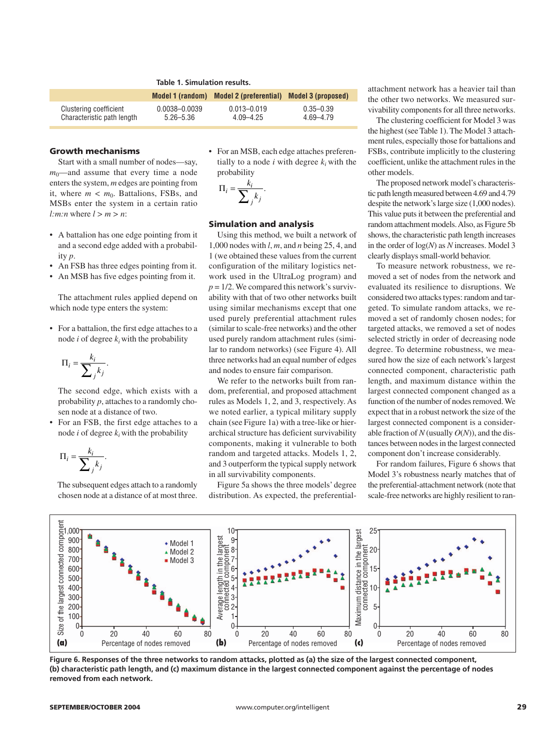| Table 1. Simulation results. |  |
|------------------------------|--|
|------------------------------|--|

|                            | Model 1 (random)  | Model 2 (preferential) Model 3 (proposed) |               |
|----------------------------|-------------------|-------------------------------------------|---------------|
| Clustering coefficient     | $0.0038 - 0.0039$ | $0.013 - 0.019$                           | $0.35 - 0.39$ |
| Characteristic path length | $5.26 - 5.36$     | $4.09 - 4.25$                             | 4.69–4.79     |

#### **Growth mechanisms**

Start with a small number of nodes—say,  $m_0$ —and assume that every time a node enters the system, *m* edges are pointing from it, where  $m < m_0$ . Battalions, FSBs, and MSBs enter the system in a certain ratio *l:m:n* where *l > m > n*:

- A battalion has one edge pointing from it and a second edge added with a probability *p*.
- An FSB has three edges pointing from it.
- An MSB has five edges pointing from it.

The attachment rules applied depend on which node type enters the system:

• For a battalion, the first edge attaches to a node  $i$  of degree  $k_i$  with the probability

$$
\Pi_i = \frac{k_i}{\sum_j k_j}.
$$

The second edge, which exists with a probability *p*, attaches to a randomly chosen node at a distance of two.

• For an FSB, the first edge attaches to a node  $i$  of degree  $k_i$  with the probability

$$
\Pi_i = \frac{k_i}{\sum_j k_j}.
$$

The subsequent edges attach to a randomly chosen node at a distance of at most three. • For an MSB, each edge attaches preferentially to a node  $i$  with degree  $k_i$  with the probability

$$
\Pi_i = \frac{k_i}{\sum_j k_j}.
$$

#### **Simulation and analysis**

Using this method, we built a network of 1,000 nodes with *l*, *m*, and *n* being 25, 4, and 1 (we obtained these values from the current configuration of the military logistics network used in the UltraLog program) and  $p = 1/2$ . We compared this network's survivability with that of two other networks built using similar mechanisms except that one used purely preferential attachment rules (similar to scale-free networks) and the other used purely random attachment rules (similar to random networks) (see Figure 4). All three networks had an equal number of edges and nodes to ensure fair comparison.

We refer to the networks built from random, preferential, and proposed attachment rules as Models 1, 2, and 3, respectively. As we noted earlier, a typical military supply chain (see Figure 1a) with a tree-like or hierarchical structure has deficient survivability components, making it vulnerable to both random and targeted attacks. Models 1, 2, and 3 outperform the typical supply network in all survivability components.

Figure 5a shows the three models' degree distribution. As expected, the preferentialattachment network has a heavier tail than the other two networks. We measured survivability components for all three networks.

The clustering coefficient for Model 3 was the highest (see Table 1). The Model 3 attachment rules, especially those for battalions and FSBs, contribute implicitly to the clustering coefficient, unlike the attachment rules in the other models.

The proposed network model's characteristic path length measured between 4.69 and 4.79 despite the network's large size (1,000 nodes). This value puts it between the preferential and random attachment models. Also, as Figure 5b shows, the characteristic path length increases in the order of log(*N*) as *N* increases. Model 3 clearly displays small-world behavior.

To measure network robustness, we removed a set of nodes from the network and evaluated its resilience to disruptions. We considered two attacks types: random and targeted. To simulate random attacks, we removed a set of randomly chosen nodes; for targeted attacks, we removed a set of nodes selected strictly in order of decreasing node degree. To determine robustness, we measured how the size of each network's largest connected component, characteristic path length, and maximum distance within the largest connected component changed as a function of the number of nodes removed. We expect that in a robust network the size of the largest connected component is a considerable fraction of *N* (usually *O*(*N*)), and the distances between nodes in the largest connected component don't increase considerably.

For random failures, Figure 6 shows that Model 3's robustness nearly matches that of the preferential-attachment network (note that scale-free networks are highly resilient to ran-



**Figure 6. Responses of the three networks to random attacks, plotted as (a) the size of the largest connected component, (b) characteristic path length, and (c) maximum distance in the largest connected component against the percentage of nodes removed from each network.**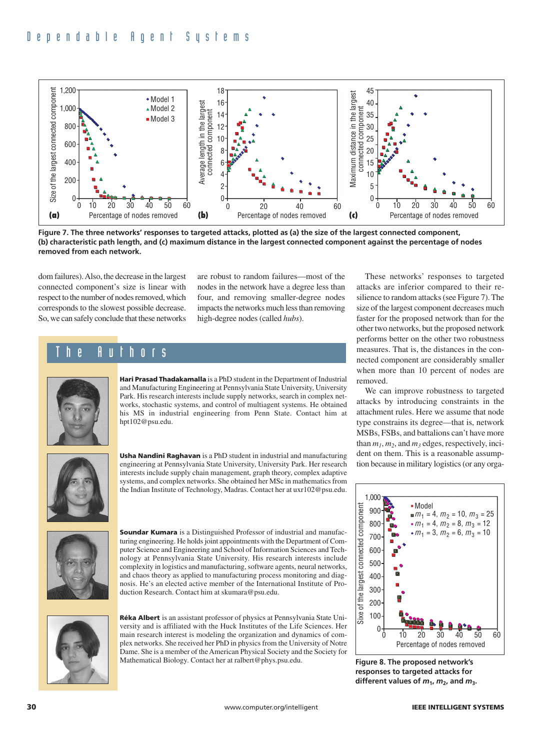

**Figure 7. The three networks' responses to targeted attacks, plotted as (a) the size of the largest connected component, (b) characteristic path length, and (c) maximum distance in the largest connected component against the percentage of nodes removed from each network.** 

dom failures). Also, the decrease in the largest connected component's size is linear with respect to the number of nodes removed, which corresponds to the slowest possible decrease. So, we can safely conclude that these networks are robust to random failures—most of the nodes in the network have a degree less than four, and removing smaller-degree nodes impacts the networks much less than removing high-degree nodes (called *hubs*).

### nors



**Hari Prasad Thadakamalla** is a PhD student in the Department of Industrial and Manufacturing Engineering at Pennsylvania State University, University Park. His research interests include supply networks, search in complex networks, stochastic systems, and control of multiagent systems. He obtained his MS in industrial engineering from Penn State. Contact him at hpt102@psu.edu.



**Usha Nandini Raghavan** is a PhD student in industrial and manufacturing engineering at Pennsylvania State University, University Park. Her research interests include supply chain management, graph theory, complex adaptive systems, and complex networks. She obtained her MSc in mathematics from the Indian Institute of Technology, Madras. Contact her at uxr102@psu.edu.



**Soundar Kumara** is a Distinguished Professor of industrial and manufacturing engineering. He holds joint appointments with the Department of Computer Science and Engineering and School of Information Sciences and Technology at Pennsylvania State University. His research interests include complexity in logistics and manufacturing, software agents, neural networks, and chaos theory as applied to manufacturing process monitoring and diagnosis. He's an elected active member of the International Institute of Production Research. Contact him at skumara@psu.edu.



**Réka Albert** is an assistant professor of physics at Pennsylvania State University and is affiliated with the Huck Institutes of the Life Sciences. Her main research interest is modeling the organization and dynamics of complex networks. She received her PhD in physics from the University of Notre Dame. She is a member of the American Physical Society and the Society for Mathematical Biology. Contact her at ralbert@phys.psu.edu.

These networks' responses to targeted attacks are inferior compared to their resilience to random attacks (see Figure 7). The size of the largest component decreases much faster for the proposed network than for the other two networks, but the proposed network performs better on the other two robustness measures. That is, the distances in the connected component are considerably smaller when more than 10 percent of nodes are removed.

We can improve robustness to targeted attacks by introducing constraints in the attachment rules. Here we assume that node type constrains its degree—that is, network MSBs, FSBs, and battalions can't have more than  $m_1$ ,  $m_2$ , and  $m_3$  edges, respectively, incident on them. This is a reasonable assumption because in military logistics (or any orga-



**Figure 8. The proposed network's responses to targeted attacks for**  different values of  $m_1$ ,  $m_2$ , and  $m_3$ .